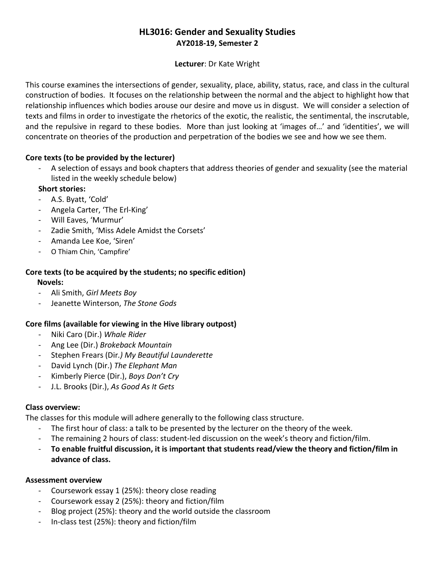# **HL3016: Gender and Sexuality Studies AY2018-19, Semester 2**

#### **Lecturer**: Dr Kate Wright

This course examines the intersections of gender, sexuality, place, ability, status, race, and class in the cultural construction of bodies. It focuses on the relationship between the normal and the abject to highlight how that relationship influences which bodies arouse our desire and move us in disgust. We will consider a selection of texts and films in order to investigate the rhetorics of the exotic, the realistic, the sentimental, the inscrutable, and the repulsive in regard to these bodies. More than just looking at 'images of…' and 'identities', we will concentrate on theories of the production and perpetration of the bodies we see and how we see them.

### **Core texts (to be provided by the lecturer)**

- A selection of essays and book chapters that address theories of gender and sexuality (see the material listed in the weekly schedule below)

### **Short stories:**

- A.S. Byatt, 'Cold'
- Angela Carter, 'The Erl-King'
- Will Eaves, 'Murmur'
- Zadie Smith, 'Miss Adele Amidst the Corsets'
- Amanda Lee Koe, 'Siren'
- O Thiam Chin, 'Campfire'

## **Core texts (to be acquired by the students; no specific edition)**

 **Novels:**

- Ali Smith, *Girl Meets Boy*
- Jeanette Winterson, *The Stone Gods*

### **Core films (available for viewing in the Hive library outpost)**

- Niki Caro (Dir.) *Whale Rider*
- Ang Lee (Dir.) *Brokeback Mountain*
- Stephen Frears (Dir*.) My Beautiful Launderette*
- David Lynch (Dir.) *The Elephant Man*
- Kimberly Pierce (Dir.), *Boys Don't Cry*
- J.L. Brooks (Dir.), *As Good As It Gets*

#### **Class overview:**

The classes for this module will adhere generally to the following class structure.

- The first hour of class: a talk to be presented by the lecturer on the theory of the week.
- The remaining 2 hours of class: student-led discussion on the week's theory and fiction/film.
- **To enable fruitful discussion, it is important that students read/view the theory and fiction/film in advance of class.**

### **Assessment overview**

- Coursework essay 1 (25%): theory close reading
- Coursework essay 2 (25%): theory and fiction/film
- Blog project (25%): theory and the world outside the classroom
- In-class test (25%): theory and fiction/film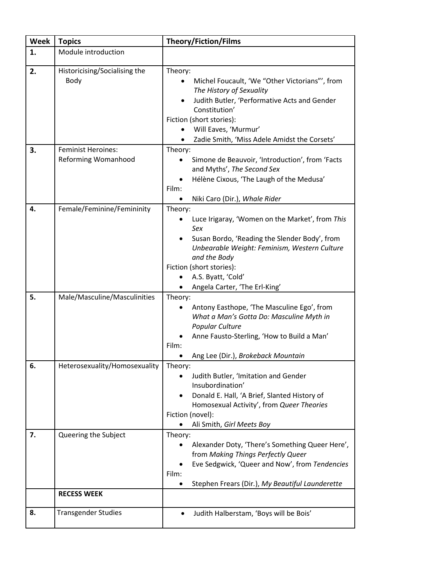| <b>Week</b> | <b>Topics</b>                                           | <b>Theory/Fiction/Films</b>                                                                                                                                                                                                                                             |
|-------------|---------------------------------------------------------|-------------------------------------------------------------------------------------------------------------------------------------------------------------------------------------------------------------------------------------------------------------------------|
| 1.          | Module introduction                                     |                                                                                                                                                                                                                                                                         |
| 2.          | Historicising/Socialising the<br>Body                   | Theory:<br>Michel Foucault, 'We "Other Victorians"', from<br>The History of Sexuality<br>Judith Butler, 'Performative Acts and Gender<br>$\bullet$<br>Constitution'<br>Fiction (short stories):<br>Will Eaves, 'Murmur'<br>Zadie Smith, 'Miss Adele Amidst the Corsets' |
| 3.          | <b>Feminist Heroines:</b><br><b>Reforming Womanhood</b> | Theory:<br>Simone de Beauvoir, 'Introduction', from 'Facts<br>and Myths', The Second Sex<br>Hélène Cixous, 'The Laugh of the Medusa'<br>Film:<br>Niki Caro (Dir.), Whale Rider<br>$\bullet$                                                                             |
| 4.          | Female/Feminine/Femininity                              | Theory:<br>Luce Irigaray, 'Women on the Market', from This<br>Sex<br>Susan Bordo, 'Reading the Slender Body', from<br>Unbearable Weight: Feminism, Western Culture<br>and the Body<br>Fiction (short stories):<br>A.S. Byatt, 'Cold'<br>Angela Carter, 'The Erl-King'   |
| 5.          | Male/Masculine/Masculinities                            | Theory:<br>Antony Easthope, 'The Masculine Ego', from<br>What a Man's Gotta Do: Masculine Myth in<br>Popular Culture<br>Anne Fausto-Sterling, 'How to Build a Man'<br>Film:<br>Ang Lee (Dir.), Brokeback Mountain                                                       |
| 6.          | Heterosexuality/Homosexuality                           | Theory:<br>Judith Butler, 'Imitation and Gender<br>Insubordination'<br>Donald E. Hall, 'A Brief, Slanted History of<br>Homosexual Activity', from Queer Theories<br>Fiction (novel):<br>Ali Smith, Girl Meets Boy                                                       |
| 7.          | Queering the Subject                                    | Theory:<br>Alexander Doty, 'There's Something Queer Here',<br>from Making Things Perfectly Queer<br>Eve Sedgwick, 'Queer and Now', from Tendencies<br>Film:<br>Stephen Frears (Dir.), My Beautiful Launderette                                                          |
|             | <b>RECESS WEEK</b>                                      |                                                                                                                                                                                                                                                                         |
| 8.          | <b>Transgender Studies</b>                              | Judith Halberstam, 'Boys will be Bois'                                                                                                                                                                                                                                  |